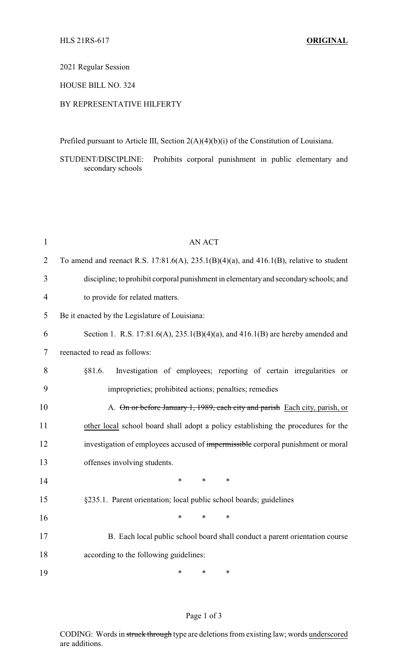# 2021 Regular Session

# HOUSE BILL NO. 324

## BY REPRESENTATIVE HILFERTY

Prefiled pursuant to Article III, Section 2(A)(4)(b)(i) of the Constitution of Louisiana.

STUDENT/DISCIPLINE: Prohibits corporal punishment in public elementary and secondary schools

| $\mathbf{1}$   | <b>AN ACT</b>                                                                           |
|----------------|-----------------------------------------------------------------------------------------|
| $\overline{2}$ | To amend and reenact R.S. 17:81.6(A), 235.1(B)(4)(a), and 416.1(B), relative to student |
| 3              | discipline; to prohibit corporal punishment in elementary and secondary schools; and    |
| $\overline{4}$ | to provide for related matters.                                                         |
| 5              | Be it enacted by the Legislature of Louisiana:                                          |
| 6              | Section 1. R.S. 17:81.6(A), $235.1(B)(4)(a)$ , and $416.1(B)$ are hereby amended and    |
| 7              | reenacted to read as follows:                                                           |
| 8              | Investigation of employees; reporting of certain irregularities or<br>§81.6.            |
| 9              | improprieties; prohibited actions; penalties; remedies                                  |
| 10             | A. On or before January 1, 1989, each city and parish Each city, parish, or             |
| 11             | other local school board shall adopt a policy establishing the procedures for the       |
| 12             | investigation of employees accused of impermissible corporal punishment or moral        |
| 13             | offenses involving students.                                                            |
| 14             | $\ast$<br>$\ast$<br>$\ast$                                                              |
| 15             | §235.1. Parent orientation; local public school boards; guidelines                      |
| 16             | $\ast$<br>$\ast$<br>$\ast$                                                              |
| 17             | B. Each local public school board shall conduct a parent orientation course             |
| 18             | according to the following guidelines:                                                  |
| 19             | $\ast$<br>$\ast$<br>$\ast$                                                              |

#### Page 1 of 3

CODING: Words in struck through type are deletions from existing law; words underscored are additions.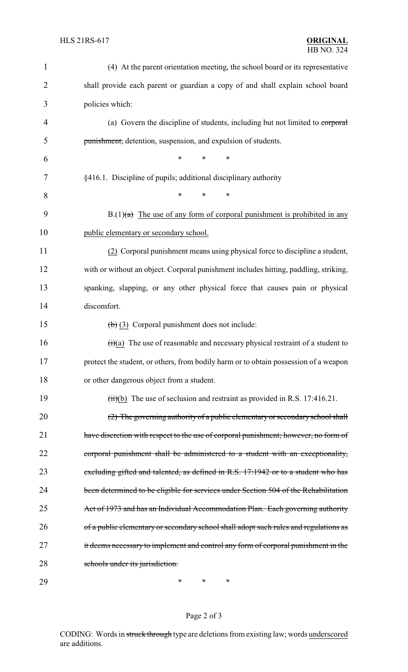| 1              | (4) At the parent orientation meeting, the school board or its representative                     |
|----------------|---------------------------------------------------------------------------------------------------|
| $\overline{2}$ | shall provide each parent or guardian a copy of and shall explain school board                    |
| 3              | policies which:                                                                                   |
| 4              | (a) Govern the discipline of students, including but not limited to corporal                      |
| 5              | punishment, detention, suspension, and expulsion of students.                                     |
| 6              | *<br>$\ast$<br>∗                                                                                  |
| 7              | §416.1. Discipline of pupils; additional disciplinary authority                                   |
| 8              | $\ast$<br>$\ast$<br>∗                                                                             |
| 9              | $B(1)(a)$ The use of any form of corporal punishment is prohibited in any                         |
| 10             | public elementary or secondary school.                                                            |
| 11             | (2) Corporal punishment means using physical force to discipline a student,                       |
| 12             | with or without an object. Corporal punishment includes hitting, paddling, striking,              |
| 13             | spanking, slapping, or any other physical force that causes pain or physical                      |
| 14             | discomfort.                                                                                       |
| 15             | $\left(\frac{1}{2}\right)$ (3) Corporal punishment does not include:                              |
| 16             | $\overrightarrow{(t)}$ (a) The use of reasonable and necessary physical restraint of a student to |
| 17             | protect the student, or others, from bodily harm or to obtain possession of a weapon              |
| 18             | or other dangerous object from a student.                                                         |
| 19             | $(ii)(b)$ The use of seclusion and restraint as provided in R.S. 17:416.21.                       |
| 20             | $(2)$ The governing authority of a public elementary or secondary school shall                    |
| 21             | have discretion with respect to the use of corporal punishment; however, no form of               |
| 22             | corporal punishment shall be administered to a student with an exceptionality,                    |
| 23             | excluding gifted and talented, as defined in R.S. 17:1942 or to a student who has                 |
| 24             | been determined to be eligible for services under Section 504 of the Rehabilitation               |
| 25             | Act of 1973 and has an Individual Accommodation Plan. Each governing authority                    |
| 26             | of a public elementary or secondary school shall adopt such rules and regulations as              |
| 27             | it deems necessary to implement and control any form of corporal punishment in the                |
| 28             | schools under its jurisdiction.                                                                   |
| 29             | ∗<br>∗<br>∗                                                                                       |

# Page 2 of 3

CODING: Words in struck through type are deletions from existing law; words underscored are additions.